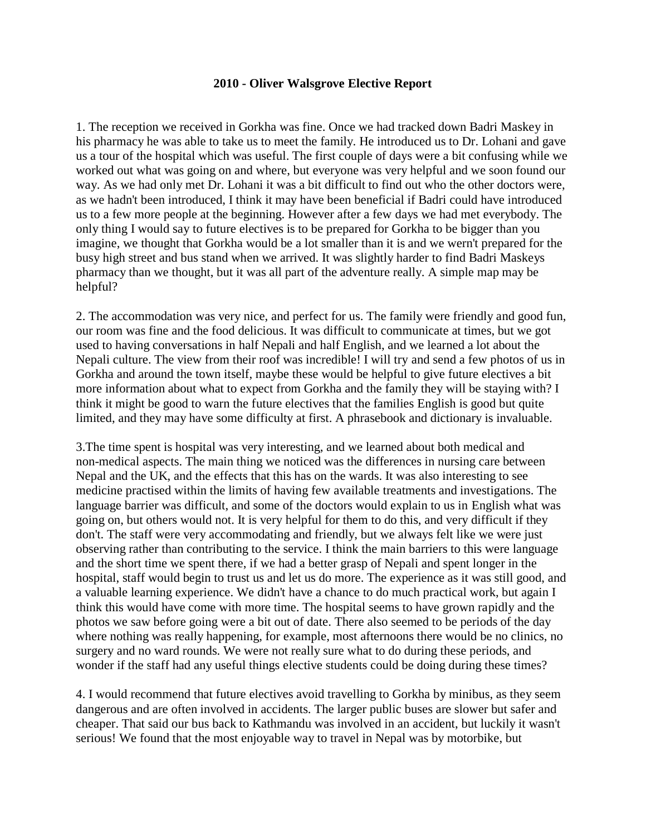## **2010 - Oliver Walsgrove Elective Report**

1. The reception we received in Gorkha was fine. Once we had tracked down Badri Maskey in his pharmacy he was able to take us to meet the family. He introduced us to Dr. Lohani and gave us a tour of the hospital which was useful. The first couple of days were a bit confusing while we worked out what was going on and where, but everyone was very helpful and we soon found our way. As we had only met Dr. Lohani it was a bit difficult to find out who the other doctors were, as we hadn't been introduced, I think it may have been beneficial if Badri could have introduced us to a few more people at the beginning. However after a few days we had met everybody. The only thing I would say to future electives is to be prepared for Gorkha to be bigger than you imagine, we thought that Gorkha would be a lot smaller than it is and we wern't prepared for the busy high street and bus stand when we arrived. It was slightly harder to find Badri Maskeys pharmacy than we thought, but it was all part of the adventure really. A simple map may be helpful?

2. The accommodation was very nice, and perfect for us. The family were friendly and good fun, our room was fine and the food delicious. It was difficult to communicate at times, but we got used to having conversations in half Nepali and half English, and we learned a lot about the Nepali culture. The view from their roof was incredible! I will try and send a few photos of us in Gorkha and around the town itself, maybe these would be helpful to give future electives a bit more information about what to expect from Gorkha and the family they will be staying with? I think it might be good to warn the future electives that the families English is good but quite limited, and they may have some difficulty at first. A phrasebook and dictionary is invaluable.

3.The time spent is hospital was very interesting, and we learned about both medical and non-medical aspects. The main thing we noticed was the differences in nursing care between Nepal and the UK, and the effects that this has on the wards. It was also interesting to see medicine practised within the limits of having few available treatments and investigations. The language barrier was difficult, and some of the doctors would explain to us in English what was going on, but others would not. It is very helpful for them to do this, and very difficult if they don't. The staff were very accommodating and friendly, but we always felt like we were just observing rather than contributing to the service. I think the main barriers to this were language and the short time we spent there, if we had a better grasp of Nepali and spent longer in the hospital, staff would begin to trust us and let us do more. The experience as it was still good, and a valuable learning experience. We didn't have a chance to do much practical work, but again I think this would have come with more time. The hospital seems to have grown rapidly and the photos we saw before going were a bit out of date. There also seemed to be periods of the day where nothing was really happening, for example, most afternoons there would be no clinics, no surgery and no ward rounds. We were not really sure what to do during these periods, and wonder if the staff had any useful things elective students could be doing during these times?

4. I would recommend that future electives avoid travelling to Gorkha by minibus, as they seem dangerous and are often involved in accidents. The larger public buses are slower but safer and cheaper. That said our bus back to Kathmandu was involved in an accident, but luckily it wasn't serious! We found that the most enjoyable way to travel in Nepal was by motorbike, but